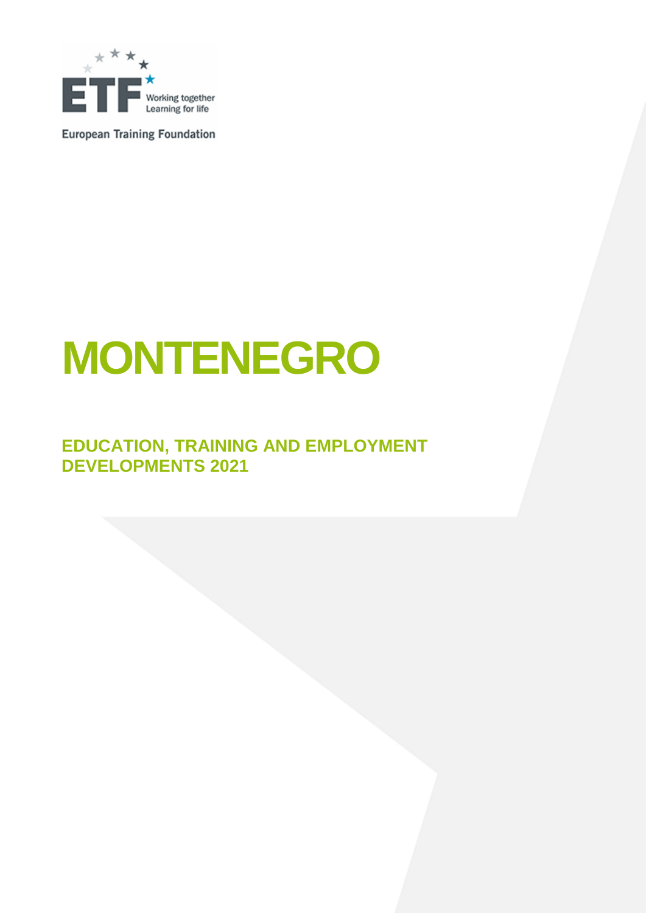

**European Training Foundation** 

# **MONTENEGRO**

### **EDUCATION, TRAINING AND EMPLOYMENT DEVELOPMENTS 2021**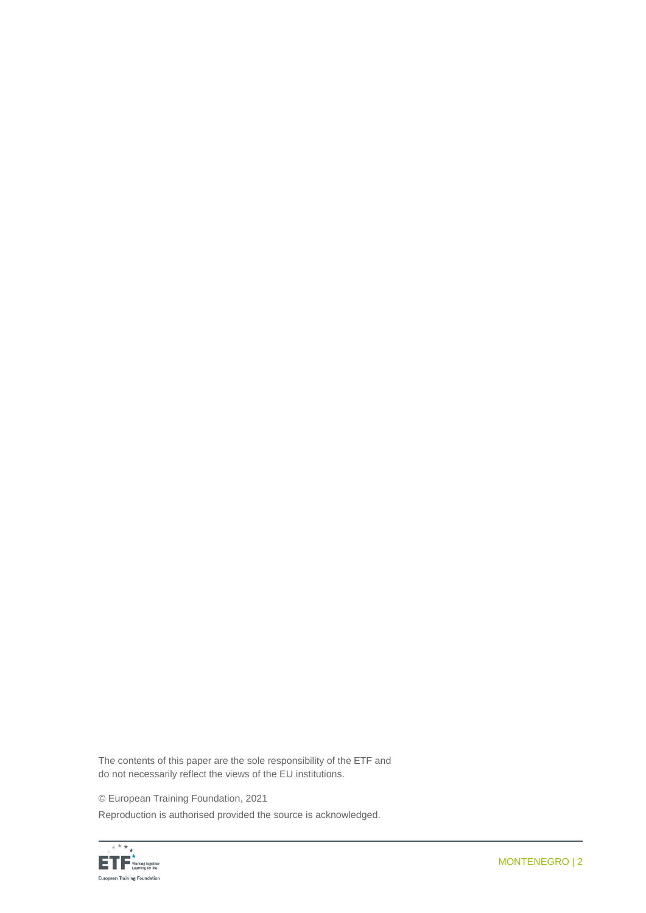The contents of this paper are the sole responsibility of the ETF and do not necessarily reflect the views of the EU institutions.

© European Training Foundation, 2021

Reproduction is authorised provided the source is acknowledged.

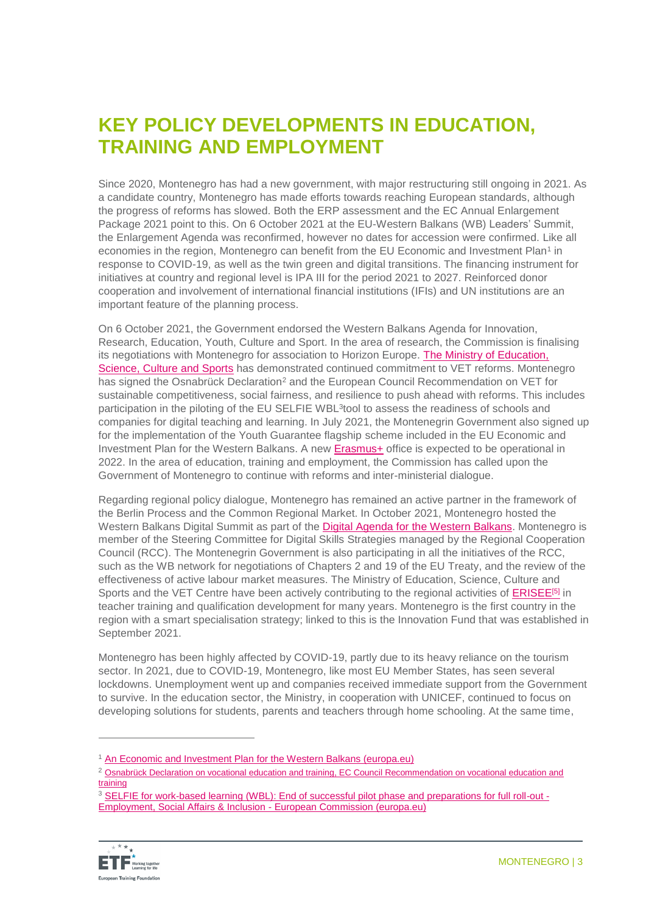### **KEY POLICY DEVELOPMENTS IN EDUCATION, TRAINING AND EMPLOYMENT**

Since 2020, Montenegro has had a new government, with major restructuring still ongoing in 2021. As a candidate country, Montenegro has made efforts towards reaching European standards, although the progress of reforms has slowed. Both the ERP assessment and the EC Annual Enlargement Package 2021 point to this. On 6 October 2021 at the EU-Western Balkans (WB) Leaders' Summit, the Enlargement Agenda was reconfirmed, however no dates for accession were confirmed. Like all economies in the region, Montenegro can benefit from the EU Economic and Investment Plan<sup>1</sup> in response to COVID-19, as well as the twin green and digital transitions. The financing instrument for initiatives at country and regional level is IPA III for the period 2021 to 2027. Reinforced donor cooperation and involvement of international financial institutions (IFIs) and UN institutions are an important feature of the planning process.

On 6 October 2021, the Government endorsed the Western Balkans Agenda for Innovation, Research, Education, Youth, Culture and Sport. In the area of research, the Commission is finalising its negotiations with Montenegro for association to Horizon Europe. [The Ministry of Education,](https://www.gov.me/en/mpnks)  [Science, Culture and Sports](https://www.gov.me/en/mpnks) has demonstrated continued commitment to VET reforms. Montenegro has signed the Osnabrück Declaration<sup>2</sup> and the European Council Recommendation on VET for sustainable competitiveness, social fairness, and resilience to push ahead with reforms. This includes participation in the piloting of the EU SELFIE WBL<sup>3</sup>tool to assess the readiness of schools and companies for digital teaching and learning. In July 2021, the Montenegrin Government also signed up for the implementation of the Youth Guarantee flagship scheme included in the EU Economic and Investment Plan for the Western Balkans. A new [Erasmus+](https://erasmus-plus.ec.europa.eu/) office is expected to be operational in 2022. In the area of education, training and employment, the Commission has called upon the Government of Montenegro to continue with reforms and inter-ministerial dialogue.

Regarding regional policy dialogue, Montenegro has remained an active partner in the framework of the Berlin Process and the Common Regional Market. In October 2021, Montenegro hosted the Western Balkans Digital Summit as part of the Digital Agenda [for the Western Balkans.](https://ec.europa.eu/commission/presscorner/detail/en/IP_18_4242) Montenegro is member of the Steering Committee for Digital Skills Strategies managed by the Regional Cooperation Council (RCC). The Montenegrin Government is also participating in all the initiatives of the RCC, such as the WB network for negotiations of Chapters 2 and 19 of the EU Treaty, and the review of the effectiveness of active labour market measures. The Ministry of Education, Science, Culture and Sports and the VET Centre have been actively contributing to the regional activities of [ERISEE](https://www.erisee.org/about-eri-see/)<sup>[\[5\]](https://euc-word-edit.officeapps.live.com/we/wordeditorframe.aspx?ui=en%2DGB&rs=en%2DUS&wopisrc=https%3A%2F%2Feuropeantrainingfoundation.sharepoint.com%2Fsites%2FImage%2Fmontenegro%2F_vti_bin%2Fwopi.ashx%2Ffiles%2F7c3b18730a1b495789799e637c57c7eb&wdpid=4f3e3e26&wdenableroaming=1&mscc=1&hid=66A904A0-60E8-3000-68B1-DF2D711DC272&wdorigin=Other&jsapi=1&jsapiver=v1&newsession=1&corrid=63303d93-0eaa-ac7a-e80e-9394f3cf67b5&usid=63303d93-0eaa-ac7a-e80e-9394f3cf67b5&sftc=1&mtf=1&sfp=1&instantedit=1&wopicomplete=1&wdredirectionreason=Unified_SingleFlush&preseededsessionkey=5e392168-8db0-8324-671f-c7692a498360&preseededwacsessionid=63303d93-0eaa-ac7a-e80e-9394f3cf67b5&rct=Medium&ctp=LeastProtected#_ftn5)</sup> in teacher training and qualification development for many years. Montenegro is the first country in the region with a smart specialisation strategy; linked to this is the Innovation Fund that was established in September 2021.

Montenegro has been highly affected by COVID-19, partly due to its heavy reliance on the tourism sector. In 2021, due to COVID-19, Montenegro, like most EU Member States, has seen several lockdowns. Unemployment went up and companies received immediate support from the Government to survive. In the education sector, the Ministry, in cooperation with UNICEF, continued to focus on developing solutions for students, parents and teachers through home schooling. At the same time,

<sup>&</sup>lt;sup>3</sup> [SELFIE for work-based learning \(WBL\): End of successful pilot phase and preparations for full roll-out -](https://ec.europa.eu/social/main.jsp?langId=en&catId=89&newsId=9761&furtherNews=yes) [Employment, Social Affairs & Inclusion -](https://ec.europa.eu/social/main.jsp?langId=en&catId=89&newsId=9761&furtherNews=yes) European Commission (europa.eu)



<sup>&</sup>lt;sup>1</sup> [An Economic and Investment Plan for the Western Balkans \(europa.eu\)](https://ec.europa.eu/commission/presscorner/detail/en/IP_20_1811)

<sup>&</sup>lt;sup>2</sup> Osnabrück Declaration on vocational education and training, EC Council Recommendation on vocational education and [training](https://www.cedefop.europa.eu/files/osnabrueck_declaration_eu2020.pdf)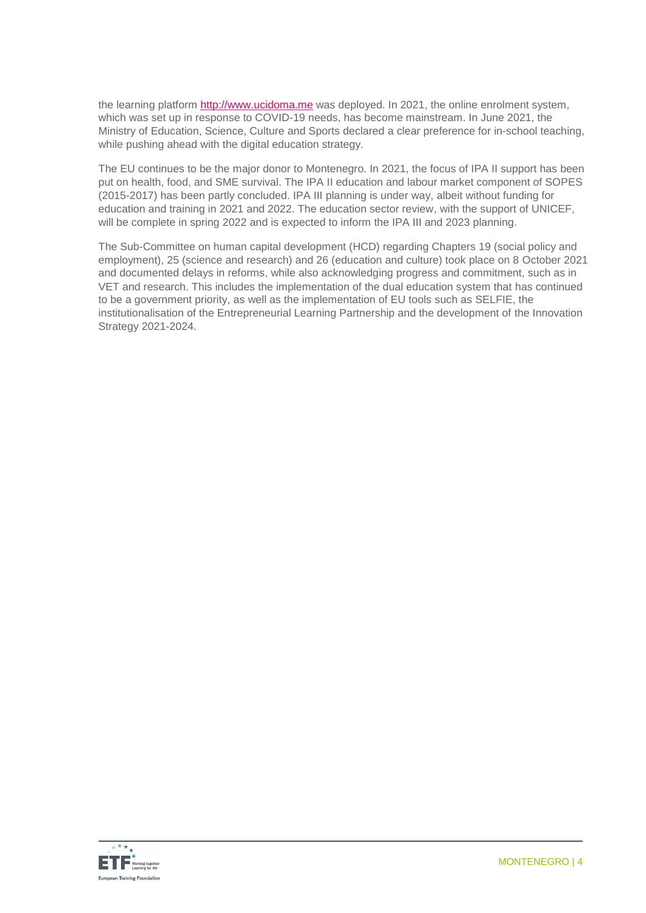the learning platform [http://www.ucidoma.me](http://www.ucidoma.me/) was deployed. In 2021, the online enrolment system, which was set up in response to COVID-19 needs, has become mainstream. In June 2021, the Ministry of Education, Science, Culture and Sports declared a clear preference for in-school teaching, while pushing ahead with the digital education strategy.

The EU continues to be the major donor to Montenegro. In 2021, the focus of IPA II support has been put on health, food, and SME survival. The IPA II education and labour market component of SOPES (2015-2017) has been partly concluded. IPA III planning is under way, albeit without funding for education and training in 2021 and 2022. The education sector review, with the support of UNICEF, will be complete in spring 2022 and is expected to inform the IPA III and 2023 planning.

The Sub-Committee on human capital development (HCD) regarding Chapters 19 (social policy and employment), 25 (science and research) and 26 (education and culture) took place on 8 October 2021 and documented delays in reforms, while also acknowledging progress and commitment, such as in VET and research. This includes the implementation of the dual education system that has continued to be a government priority, as well as the implementation of EU tools such as SELFIE, the institutionalisation of the Entrepreneurial Learning Partnership and the development of the Innovation Strategy 2021-2024.

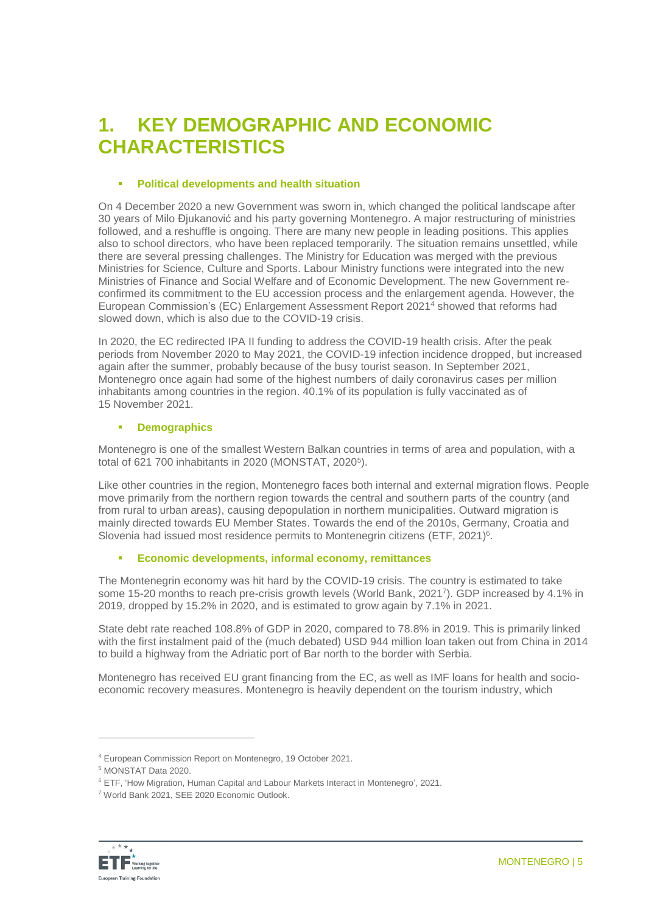### **1. KEY DEMOGRAPHIC AND ECONOMIC CHARACTERISTICS**

### **Political developments and health situation**

On 4 December 2020 a new Government was sworn in, which changed the political landscape after 30 years of Milo Đjukanović and his party governing Montenegro. A major restructuring of ministries followed, and a reshuffle is ongoing. There are many new people in leading positions. This applies also to school directors, who have been replaced temporarily. The situation remains unsettled, while there are several pressing challenges. The Ministry for Education was merged with the previous Ministries for Science, Culture and Sports. Labour Ministry functions were integrated into the new Ministries of Finance and Social Welfare and of Economic Development. The new Government reconfirmed its commitment to the EU accession process and the enlargement agenda. However, the European Commission's (EC) Enlargement Assessment Report 2021<sup>4</sup> showed that reforms had slowed down, which is also due to the COVID-19 crisis.

In 2020, the EC redirected IPA II funding to address the COVID-19 health crisis. After the peak periods from November 2020 to May 2021, the COVID-19 infection incidence dropped, but increased again after the summer, probably because of the busy tourist season. In September 2021, Montenegro once again had some of the highest numbers of daily coronavirus cases per million inhabitants among countries in the region. 40.1% of its population is fully vaccinated as of 15 November 2021.

### **Demographics**

Montenegro is one of the smallest Western Balkan countries in terms of area and population, with a total of 621 700 inhabitants in 2020 (MONSTAT, 2020<sup>5</sup>).

Like other countries in the region, Montenegro faces both internal and external migration flows. People move primarily from the northern region towards the central and southern parts of the country (and from rural to urban areas), causing depopulation in northern municipalities. Outward migration is mainly directed towards EU Member States. Towards the end of the 2010s, Germany, Croatia and Slovenia had issued most residence permits to Montenegrin citizens (ETF, 2021)<sup>6</sup>.

### **Economic developments, informal economy, remittances**

The Montenegrin economy was hit hard by the COVID-19 crisis. The country is estimated to take some 15-20 months to reach pre-crisis growth levels (World Bank, 2021<sup>7</sup>). GDP increased by 4.1% in 2019, dropped by 15.2% in 2020, and is estimated to grow again by 7.1% in 2021.

State debt rate reached 108.8% of GDP in 2020, compared to 78.8% in 2019. This is primarily linked with the first instalment paid of the (much debated) USD 944 million loan taken out from China in 2014 to build a highway from the Adriatic port of Bar north to the border with Serbia.

Montenegro has received EU grant financing from the EC, as well as IMF loans for health and socioeconomic recovery measures. Montenegro is heavily dependent on the tourism industry, which

<sup>7</sup> World Bank 2021, SEE 2020 Economic Outlook.



<sup>4</sup> European Commission Report on Montenegro, 19 October 2021.

<sup>5</sup> MONSTAT Data 2020.

<sup>6</sup> ETF, 'How Migration, Human Capital and Labour Markets Interact in Montenegro', 2021.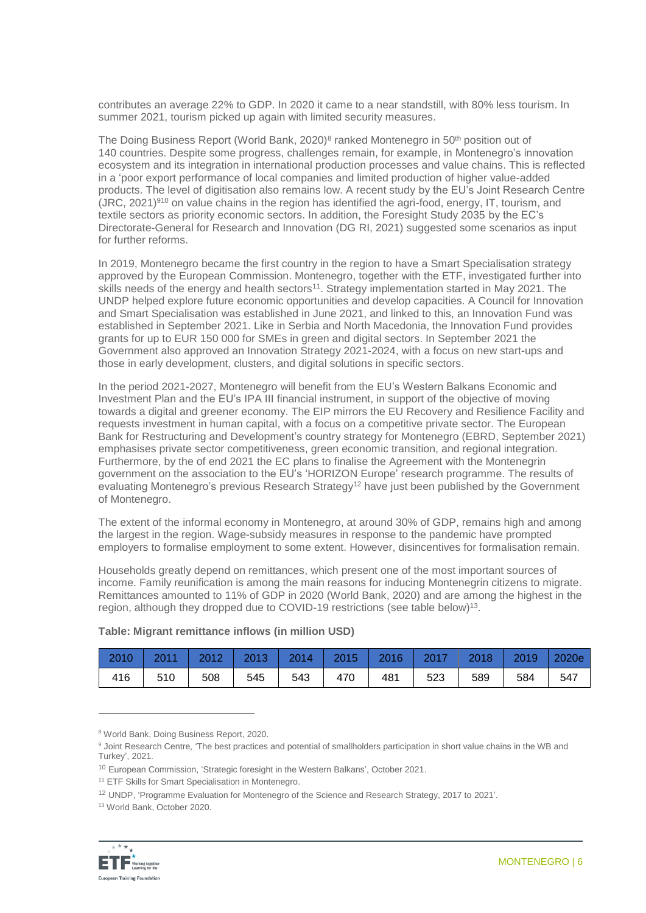contributes an average 22% to GDP. In 2020 it came to a near standstill, with 80% less tourism. In summer 2021, tourism picked up again with limited security measures.

The Doing Business Report (World Bank, 2020)<sup>8</sup> ranked Montenegro in 50<sup>th</sup> position out of 140 countries. Despite some progress, challenges remain, for example, in Montenegro's innovation ecosystem and its integration in international production processes and value chains. This is reflected in a 'poor export performance of local companies and limited production of higher value-added products. The level of digitisation also remains low. A recent study by the EU's Joint Research Centre  $(JRC, 2021)^{910}$  on value chains in the region has identified the agri-food, energy, IT, tourism, and textile sectors as priority economic sectors. In addition, the Foresight Study 2035 by the EC's Directorate-General for Research and Innovation (DG RI, 2021) suggested some scenarios as input for further reforms.

In 2019, Montenegro became the first country in the region to have a Smart Specialisation strategy approved by the European Commission. Montenegro, together with the ETF, investigated further into skills needs of the energy and health sectors<sup>11</sup>. Strategy implementation started in May 2021. The UNDP helped explore future economic opportunities and develop capacities. A Council for Innovation and Smart Specialisation was established in June 2021, and linked to this, an Innovation Fund was established in September 2021. Like in Serbia and North Macedonia, the Innovation Fund provides grants for up to EUR 150 000 for SMEs in green and digital sectors. In September 2021 the Government also approved an Innovation Strategy 2021-2024, with a focus on new start-ups and those in early development, clusters, and digital solutions in specific sectors.

In the period 2021-2027, Montenegro will benefit from the EU's Western Balkans Economic and Investment Plan and the EU's IPA III financial instrument, in support of the objective of moving towards a digital and greener economy. The EIP mirrors the EU Recovery and Resilience Facility and requests investment in human capital, with a focus on a competitive private sector. The European Bank for Restructuring and Development's country strategy for Montenegro (EBRD, September 2021) emphasises private sector competitiveness, green economic transition, and regional integration. Furthermore, by the of end 2021 the EC plans to finalise the Agreement with the Montenegrin government on the association to the EU's 'HORIZON Europe' research programme. The results of evaluating Montenegro's previous Research Strategy<sup>12</sup> have just been published by the Government of Montenegro.

The extent of the informal economy in Montenegro, at around 30% of GDP, remains high and among the largest in the region. Wage-subsidy measures in response to the pandemic have prompted employers to formalise employment to some extent. However, disincentives for formalisation remain.

Households greatly depend on remittances, which present one of the most important sources of income. Family reunification is among the main reasons for inducing Montenegrin citizens to migrate. Remittances amounted to 11% of GDP in 2020 (World Bank, 2020) and are among the highest in the region, although they dropped due to COVID-19 restrictions (see table below)<sup>13</sup>.

| 2010   2011   2012   2013   2014   2015   2016   2017   2018   2019   2020e |     |     |           |             |     |     |     |
|-----------------------------------------------------------------------------|-----|-----|-----------|-------------|-----|-----|-----|
| 416                                                                         | 510 | 508 | 545   543 | 470 481 523 | 589 | 584 | 547 |

#### **Table: Migrant remittance inflows (in million USD)**

<sup>13</sup> World Bank, October 2020.



<sup>8</sup> World Bank, Doing Business Report, 2020.

<sup>9</sup> Joint Research Centre, 'The best practices and potential of smallholders participation in short value chains in the WB and Turkey', 2021.

<sup>10</sup> European Commission, 'Strategic foresight in the Western Balkans', October 2021.

<sup>&</sup>lt;sup>11</sup> ETF Skills for Smart Specialisation in Montenegro.

<sup>12</sup> UNDP, 'Programme Evaluation for Montenegro of the Science and Research Strategy, 2017 to 2021'.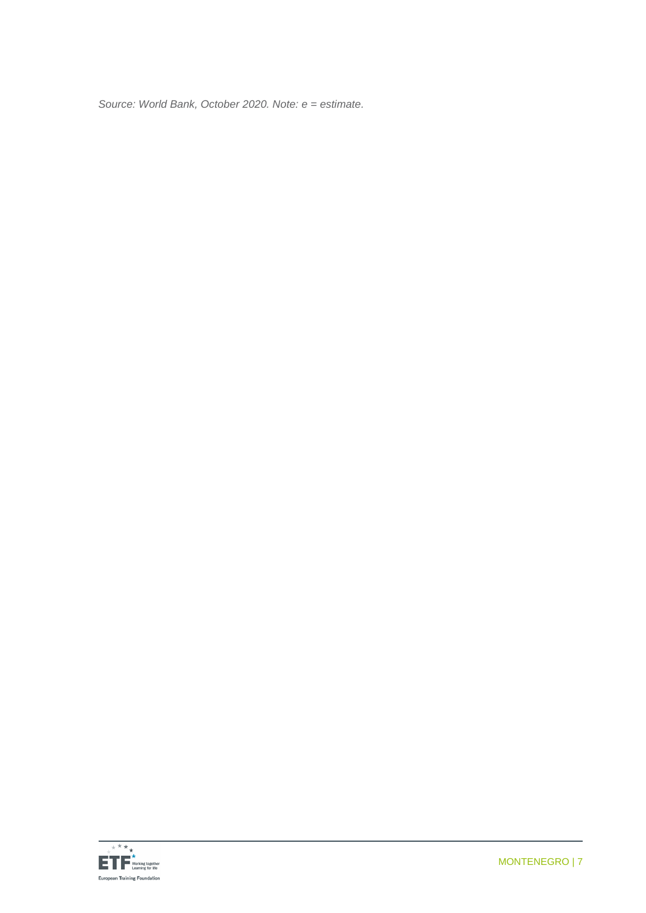*Source: World Bank, October 2020. Note: e = estimate.*

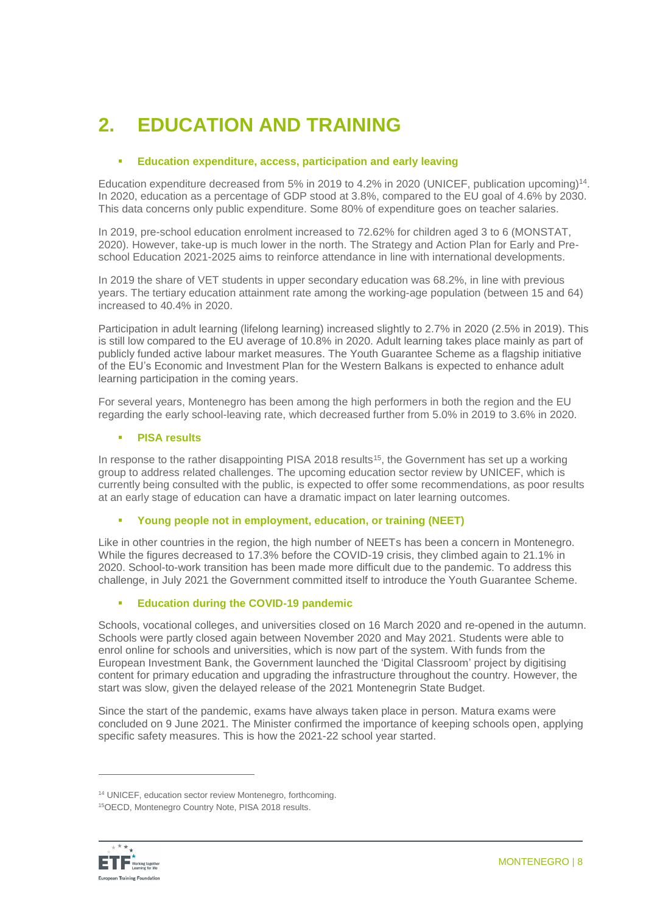# **2. EDUCATION AND TRAINING**

### **Education expenditure, access, participation and early leaving**

Education expenditure decreased from 5% in 2019 to 4.2% in 2020 (UNICEF, publication upcoming)<sup>14</sup>. In 2020, education as a percentage of GDP stood at 3.8%, compared to the EU goal of 4.6% by 2030. This data concerns only public expenditure. Some 80% of expenditure goes on teacher salaries.

In 2019, pre-school education enrolment increased to 72.62% for children aged 3 to 6 (MONSTAT, 2020). However, take-up is much lower in the north. The Strategy and Action Plan for Early and Preschool Education 2021-2025 aims to reinforce attendance in line with international developments.

In 2019 the share of VET students in upper secondary education was 68.2%, in line with previous years. The tertiary education attainment rate among the working-age population (between 15 and 64) increased to 40.4% in 2020.

Participation in adult learning (lifelong learning) increased slightly to 2.7% in 2020 (2.5% in 2019). This is still low compared to the EU average of 10.8% in 2020. Adult learning takes place mainly as part of publicly funded active labour market measures. The Youth Guarantee Scheme as a flagship initiative of the EU's Economic and Investment Plan for the Western Balkans is expected to enhance adult learning participation in the coming years.

For several years, Montenegro has been among the high performers in both the region and the EU regarding the early school-leaving rate, which decreased further from 5.0% in 2019 to 3.6% in 2020.

### **PISA results**

In response to the rather disappointing PISA 2018 results<sup>15</sup>, the Government has set up a working group to address related challenges. The upcoming education sector review by UNICEF, which is currently being consulted with the public, is expected to offer some recommendations, as poor results at an early stage of education can have a dramatic impact on later learning outcomes.

### **Young people not in employment, education, or training (NEET)**

Like in other countries in the region, the high number of NEETs has been a concern in Montenegro. While the figures decreased to 17.3% before the COVID-19 crisis, they climbed again to 21.1% in 2020. School-to-work transition has been made more difficult due to the pandemic. To address this challenge, in July 2021 the Government committed itself to introduce the Youth Guarantee Scheme.

### **Education during the COVID-19 pandemic**

Schools, vocational colleges, and universities closed on 16 March 2020 and re-opened in the autumn. Schools were partly closed again between November 2020 and May 2021. Students were able to enrol online for schools and universities, which is now part of the system. With funds from the European Investment Bank, the Government launched the 'Digital Classroom' project by digitising content for primary education and upgrading the infrastructure throughout the country. However, the start was slow, given the delayed release of the 2021 Montenegrin State Budget.

Since the start of the pandemic, exams have always taken place in person. Matura exams were concluded on 9 June 2021. The Minister confirmed the importance of keeping schools open, applying specific safety measures. This is how the 2021-22 school year started.

<sup>15</sup>OECD, Montenegro Country Note, PISA 2018 results.



<sup>14</sup> UNICEF, education sector review Montenegro, forthcoming.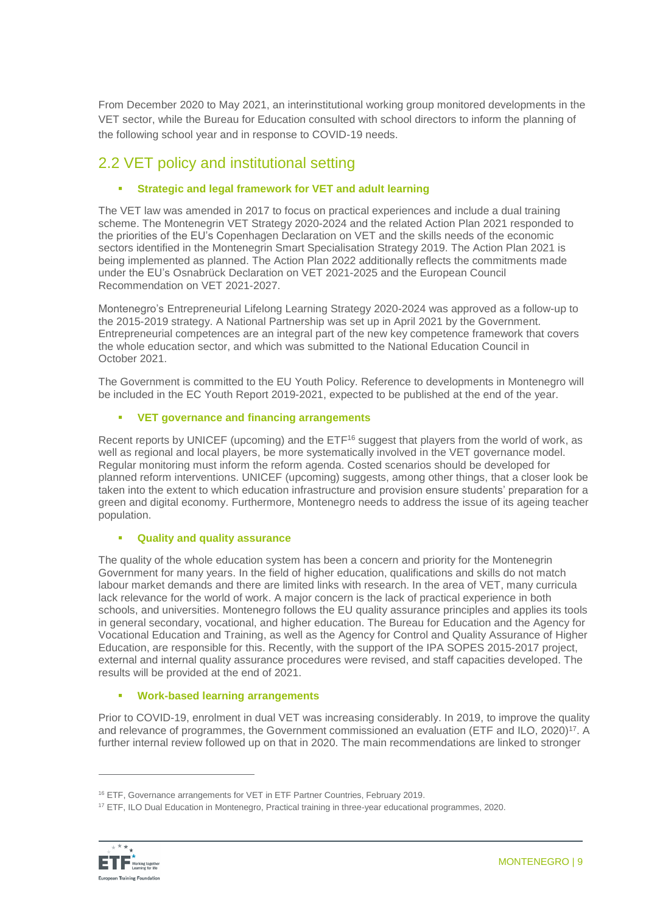From December 2020 to May 2021, an interinstitutional working group monitored developments in the VET sector, while the Bureau for Education consulted with school directors to inform the planning of the following school year and in response to COVID-19 needs.

### 2.2 VET policy and institutional setting

### **Strategic and legal framework for VET and adult learning**

The VET law was amended in 2017 to focus on practical experiences and include a dual training scheme. The Montenegrin VET Strategy 2020-2024 and the related Action Plan 2021 responded to the priorities of the EU's Copenhagen Declaration on VET and the skills needs of the economic sectors identified in the Montenegrin Smart Specialisation Strategy 2019. The Action Plan 2021 is being implemented as planned. The Action Plan 2022 additionally reflects the commitments made under the EU's Osnabrück Declaration on VET 2021-2025 and the European Council Recommendation on VET 2021-2027.

Montenegro's Entrepreneurial Lifelong Learning Strategy 2020-2024 was approved as a follow-up to the 2015-2019 strategy. A National Partnership was set up in April 2021 by the Government. Entrepreneurial competences are an integral part of the new key competence framework that covers the whole education sector, and which was submitted to the National Education Council in October 2021.

The Government is committed to the EU Youth Policy. Reference to developments in Montenegro will be included in the EC Youth Report 2019-2021, expected to be published at the end of the year.

### **VET governance and financing arrangements**

Recent reports by UNICEF (upcoming) and the ETF<sup>16</sup> suggest that players from the world of work, as well as regional and local players, be more systematically involved in the VET governance model. Regular monitoring must inform the reform agenda. Costed scenarios should be developed for planned reform interventions. UNICEF (upcoming) suggests, among other things, that a closer look be taken into the extent to which education infrastructure and provision ensure students' preparation for a green and digital economy. Furthermore, Montenegro needs to address the issue of its ageing teacher population.

### **Quality and quality assurance**

The quality of the whole education system has been a concern and priority for the Montenegrin Government for many years. In the field of higher education, qualifications and skills do not match labour market demands and there are limited links with research. In the area of VET, many curricula lack relevance for the world of work. A major concern is the lack of practical experience in both schools, and universities. Montenegro follows the EU quality assurance principles and applies its tools in general secondary, vocational, and higher education. The Bureau for Education and the Agency for Vocational Education and Training, as well as the Agency for Control and Quality Assurance of Higher Education, are responsible for this. Recently, with the support of the IPA SOPES 2015-2017 project, external and internal quality assurance procedures were revised, and staff capacities developed. The results will be provided at the end of 2021.

### **Work-based learning arrangements**

Prior to COVID-19, enrolment in dual VET was increasing considerably. In 2019, to improve the quality and relevance of programmes, the Government commissioned an evaluation (ETF and ILO, 2020)<sup>17</sup>. A further internal review followed up on that in 2020. The main recommendations are linked to stronger

<sup>17</sup> ETF, ILO Dual Education in Montenegro, Practical training in three-year educational programmes, 2020.



<sup>&</sup>lt;sup>16</sup> ETF, Governance arrangements for VET in ETF Partner Countries, February 2019.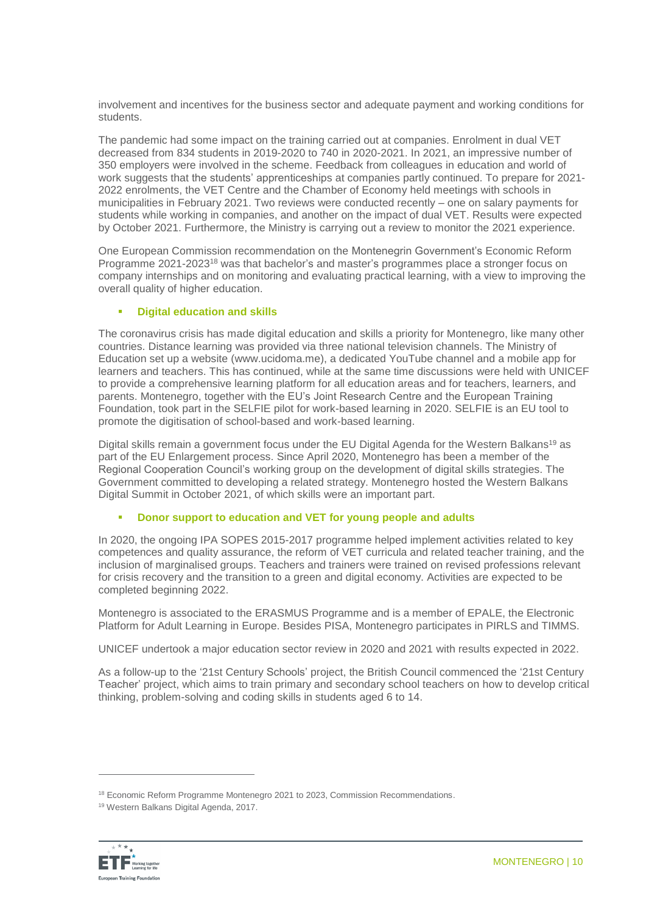involvement and incentives for the business sector and adequate payment and working conditions for students.

The pandemic had some impact on the training carried out at companies. Enrolment in dual VET decreased from 834 students in 2019-2020 to 740 in 2020-2021. In 2021, an impressive number of 350 employers were involved in the scheme. Feedback from colleagues in education and world of work suggests that the students' apprenticeships at companies partly continued. To prepare for 2021- 2022 enrolments, the VET Centre and the Chamber of Economy held meetings with schools in municipalities in February 2021. Two reviews were conducted recently – one on salary payments for students while working in companies, and another on the impact of dual VET. Results were expected by October 2021. Furthermore, the Ministry is carrying out a review to monitor the 2021 experience.

One European Commission recommendation on the Montenegrin Government's Economic Reform Programme 2021-2023<sup>18</sup> was that bachelor's and master's programmes place a stronger focus on company internships and on monitoring and evaluating practical learning, with a view to improving the overall quality of higher education.

### **Digital education and skills**

The coronavirus crisis has made digital education and skills a priority for Montenegro, like many other countries. Distance learning was provided via three national television channels. The Ministry of Education set up a website [\(www.ucidoma.me\)](http://www.ucidoma.me/), a dedicated YouTube channel and a mobile app for learners and teachers. This has continued, while at the same time discussions were held with UNICEF to provide a comprehensive learning platform for all education areas and for teachers, learners, and parents. Montenegro, together with the EU's Joint Research Centre and the European Training Foundation, took part in the SELFIE pilot for work-based learning in 2020. SELFIE is an EU tool to promote the digitisation of school-based and work-based learning.

Digital skills remain a government focus under the EU Digital Agenda for the Western Balkans<sup>19</sup> as part of the EU Enlargement process. Since April 2020, Montenegro has been a member of the Regional Cooperation Council's working group on the development of digital skills strategies. The Government committed to developing a related strategy. Montenegro hosted the Western Balkans Digital Summit in October 2021, of which skills were an important part.

#### **Donor support to education and VET for young people and adults**

In 2020, the ongoing IPA SOPES 2015-2017 programme helped implement activities related to key competences and quality assurance, the reform of VET curricula and related teacher training, and the inclusion of marginalised groups. Teachers and trainers were trained on revised professions relevant for crisis recovery and the transition to a green and digital economy. Activities are expected to be completed beginning 2022.

Montenegro is associated to the ERASMUS Programme and is a member of EPALE, the Electronic Platform for Adult Learning in Europe. Besides PISA, Montenegro participates in PIRLS and TIMMS.

UNICEF undertook a major education sector review in 2020 and 2021 with results expected in 2022.

As a follow-up to the '21st Century Schools' project, the British Council commenced the '21st Century Teacher' project, which aims to train primary and secondary school teachers on how to develop critical thinking, problem-solving and coding skills in students aged 6 to 14.

<sup>19</sup> Western Balkans Digital Agenda, 2017.



<sup>&</sup>lt;sup>18</sup> Economic Reform Programme Montenegro 2021 to 2023, Commission Recommendations.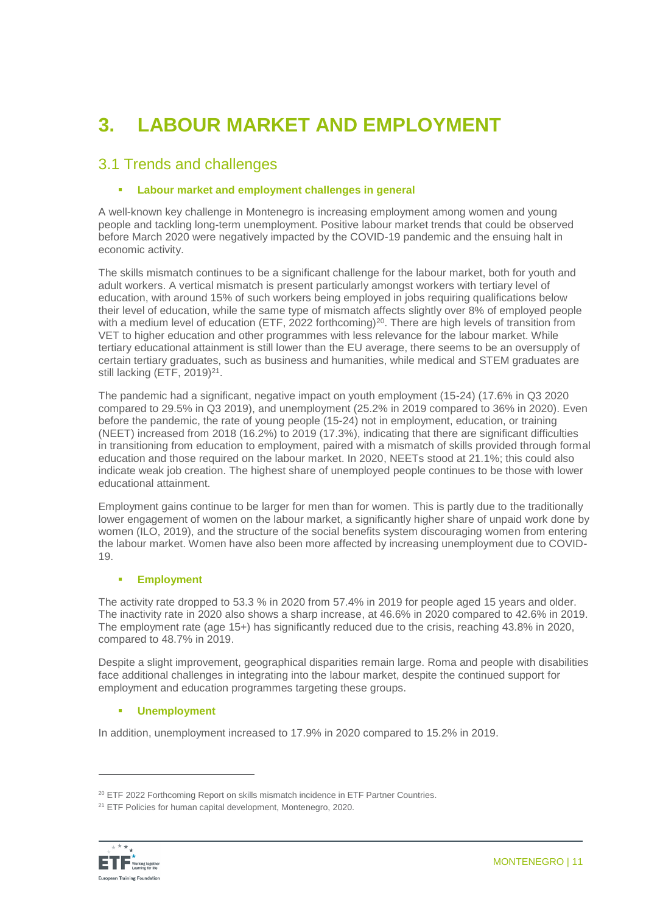# **3. LABOUR MARKET AND EMPLOYMENT**

### 3.1 Trends and challenges

### **Labour market and employment challenges in general**

A well-known key challenge in Montenegro is increasing employment among women and young people and tackling long-term unemployment. Positive labour market trends that could be observed before March 2020 were negatively impacted by the COVID-19 pandemic and the ensuing halt in economic activity.

The skills mismatch continues to be a significant challenge for the labour market, both for youth and adult workers. A vertical mismatch is present particularly amongst workers with tertiary level of education, with around 15% of such workers being employed in jobs requiring qualifications below their level of education, while the same type of mismatch affects slightly over 8% of employed people with a medium level of education (ETF, 2022 forthcoming)<sup>20</sup>. There are high levels of transition from VET to higher education and other programmes with less relevance for the labour market. While tertiary educational attainment is still lower than the EU average, there seems to be an oversupply of certain tertiary graduates, such as business and humanities, while medical and STEM graduates are still lacking (ETF,  $2019)^{21}$ .

The pandemic had a significant, negative impact on youth employment (15-24) (17.6% in Q3 2020 compared to 29.5% in Q3 2019), and unemployment (25.2% in 2019 compared to 36% in 2020). Even before the pandemic, the rate of young people (15-24) not in employment, education, or training (NEET) increased from 2018 (16.2%) to 2019 (17.3%), indicating that there are significant difficulties in transitioning from education to employment, paired with a mismatch of skills provided through formal education and those required on the labour market. In 2020, NEETs stood at 21.1%; this could also indicate weak job creation. The highest share of unemployed people continues to be those with lower educational attainment.

Employment gains continue to be larger for men than for women. This is partly due to the traditionally lower engagement of women on the labour market, a significantly higher share of unpaid work done by women (ILO, 2019), and the structure of the social benefits system discouraging women from entering the labour market. Women have also been more affected by increasing unemployment due to COVID-19.

### **Employment**

The activity rate dropped to 53.3 % in 2020 from 57.4% in 2019 for people aged 15 years and older. The inactivity rate in 2020 also shows a sharp increase, at 46.6% in 2020 compared to 42.6% in 2019. The employment rate (age 15+) has significantly reduced due to the crisis, reaching 43.8% in 2020, compared to 48.7% in 2019.

Despite a slight improvement, geographical disparities remain large. Roma and people with disabilities face additional challenges in integrating into the labour market, despite the continued support for employment and education programmes targeting these groups.

### **Unemployment**

In addition, unemployment increased to 17.9% in 2020 compared to 15.2% in 2019.

<sup>&</sup>lt;sup>21</sup> ETF Policies for human capital development, Montenegro, 2020.



<sup>&</sup>lt;sup>20</sup> ETF 2022 Forthcoming Report on skills mismatch incidence in ETF Partner Countries.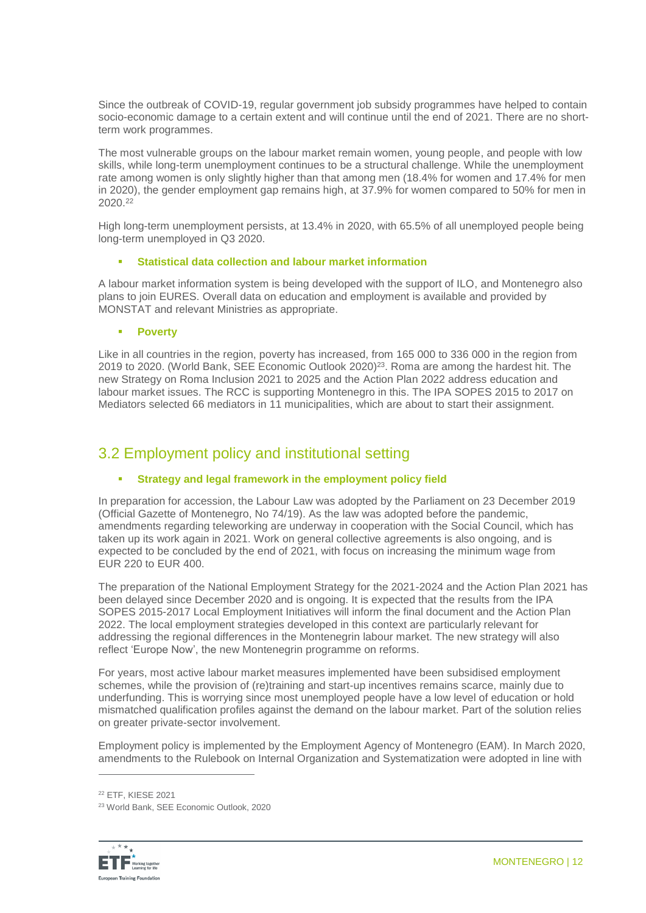Since the outbreak of COVID-19, regular government job subsidy programmes have helped to contain socio-economic damage to a certain extent and will continue until the end of 2021. There are no shortterm work programmes.

The most vulnerable groups on the labour market remain women, young people, and people with low skills, while long-term unemployment continues to be a structural challenge. While the unemployment rate among women is only slightly higher than that among men (18.4% for women and 17.4% for men in 2020), the gender employment gap remains high, at 37.9% for women compared to 50% for men in 2020.<sup>22</sup>

High long-term unemployment persists, at 13.4% in 2020, with 65.5% of all unemployed people being long-term unemployed in Q3 2020.

#### **Statistical data collection and labour market information**

A labour market information system is being developed with the support of ILO, and Montenegro also plans to join EURES. Overall data on education and employment is available and provided by MONSTAT and relevant Ministries as appropriate.

#### **Poverty**

Like in all countries in the region, poverty has increased, from 165 000 to 336 000 in the region from 2019 to 2020. (World Bank, SEE Economic Outlook 2020) <sup>23</sup>. Roma are among the hardest hit. The new Strategy on Roma Inclusion 2021 to 2025 and the Action Plan 2022 address education and labour market issues. The RCC is supporting Montenegro in this. The IPA SOPES 2015 to 2017 on Mediators selected 66 mediators in 11 municipalities, which are about to start their assignment.

### 3.2 Employment policy and institutional setting

### **Strategy and legal framework in the employment policy field**

In preparation for accession, the Labour Law was adopted by the Parliament on 23 December 2019 (Official Gazette of Montenegro, No 74/19). As the law was adopted before the pandemic, amendments regarding teleworking are underway in cooperation with the Social Council, which has taken up its work again in 2021. Work on general collective agreements is also ongoing, and is expected to be concluded by the end of 2021, with focus on increasing the minimum wage from EUR 220 to EUR 400.

The preparation of the National Employment Strategy for the 2021-2024 and the Action Plan 2021 has been delayed since December 2020 and is ongoing. It is expected that the results from the IPA SOPES 2015-2017 Local Employment Initiatives will inform the final document and the Action Plan 2022. The local employment strategies developed in this context are particularly relevant for addressing the regional differences in the Montenegrin labour market. The new strategy will also reflect 'Europe Now', the new Montenegrin programme on reforms.

For years, most active labour market measures implemented have been subsidised employment schemes, while the provision of (re)training and start-up incentives remains scarce, mainly due to underfunding. This is worrying since most unemployed people have a low level of education or hold mismatched qualification profiles against the demand on the labour market. Part of the solution relies on greater private-sector involvement.

Employment policy is implemented by the Employment Agency of Montenegro (EAM). In March 2020, amendments to the Rulebook on Internal Organization and Systematization were adopted in line with

<sup>23</sup> World Bank, SEE Economic Outlook, 2020



<sup>22</sup> ETF, KIESE 2021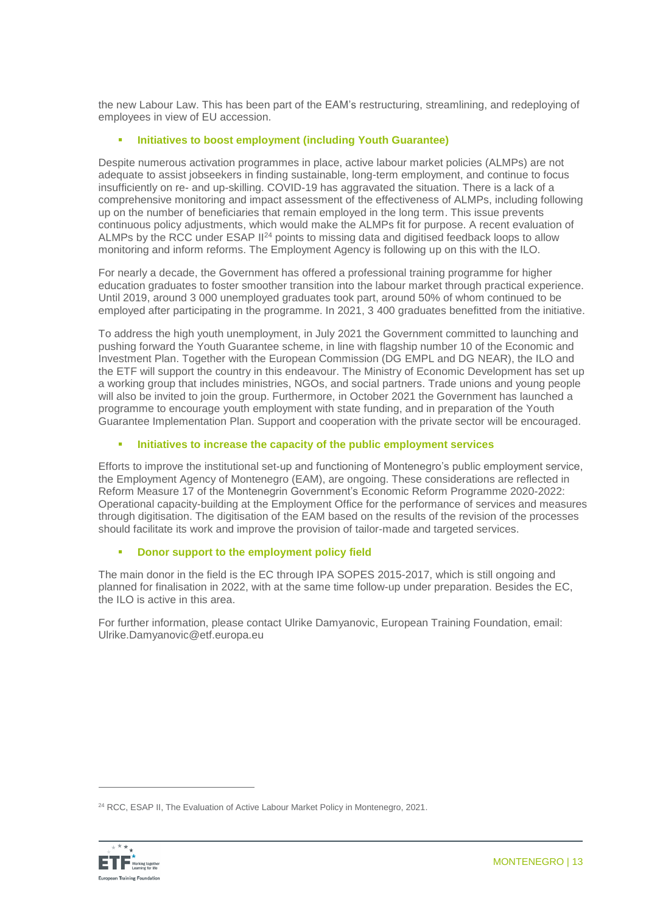the new Labour Law. This has been part of the EAM's restructuring, streamlining, and redeploying of employees in view of EU accession.

### **Initiatives to boost employment (including Youth Guarantee)**

Despite numerous activation programmes in place, active labour market policies (ALMPs) are not adequate to assist jobseekers in finding sustainable, long-term employment, and continue to focus insufficiently on re- and up-skilling. COVID-19 has aggravated the situation. There is a lack of a comprehensive monitoring and impact assessment of the effectiveness of ALMPs, including following up on the number of beneficiaries that remain employed in the long term. This issue prevents continuous policy adjustments, which would make the ALMPs fit for purpose. A recent evaluation of ALMPs by the RCC under ESAP II<sup>24</sup> points to missing data and digitised feedback loops to allow monitoring and inform reforms. The Employment Agency is following up on this with the ILO.

For nearly a decade, the Government has offered a professional training programme for higher education graduates to foster smoother transition into the labour market through practical experience. Until 2019, around 3 000 unemployed graduates took part, around 50% of whom continued to be employed after participating in the programme. In 2021, 3 400 graduates benefitted from the initiative.

To address the high youth unemployment, in July 2021 the Government committed to launching and pushing forward the Youth Guarantee scheme, in line with flagship number 10 of the Economic and Investment Plan. Together with the European Commission (DG EMPL and DG NEAR), the ILO and the ETF will support the country in this endeavour. The Ministry of Economic Development has set up a working group that includes ministries, NGOs, and social partners. Trade unions and young people will also be invited to join the group. Furthermore, in October 2021 the Government has launched a programme to encourage youth employment with state funding, and in preparation of the Youth Guarantee Implementation Plan. Support and cooperation with the private sector will be encouraged.

### **Initiatives to increase the capacity of the public employment services**

Efforts to improve the institutional set-up and functioning of Montenegro's public employment service, the Employment Agency of Montenegro (EAM), are ongoing. These considerations are reflected in Reform Measure 17 of the Montenegrin Government's Economic Reform Programme 2020-2022: Operational capacity-building at the Employment Office for the performance of services and measures through digitisation. The digitisation of the EAM based on the results of the revision of the processes should facilitate its work and improve the provision of tailor-made and targeted services.

### **Donor support to the employment policy field**

The main donor in the field is the EC through IPA SOPES 2015-2017, which is still ongoing and planned for finalisation in 2022, with at the same time follow-up under preparation. Besides the EC, the ILO is active in this area.

For further information, please contact Ulrike Damyanovic, European Training Foundation, email: Ulrike.Damyanovic@etf.europa.eu

<sup>&</sup>lt;sup>24</sup> RCC, ESAP II, The Evaluation of Active Labour Market Policy in Montenegro, 2021.

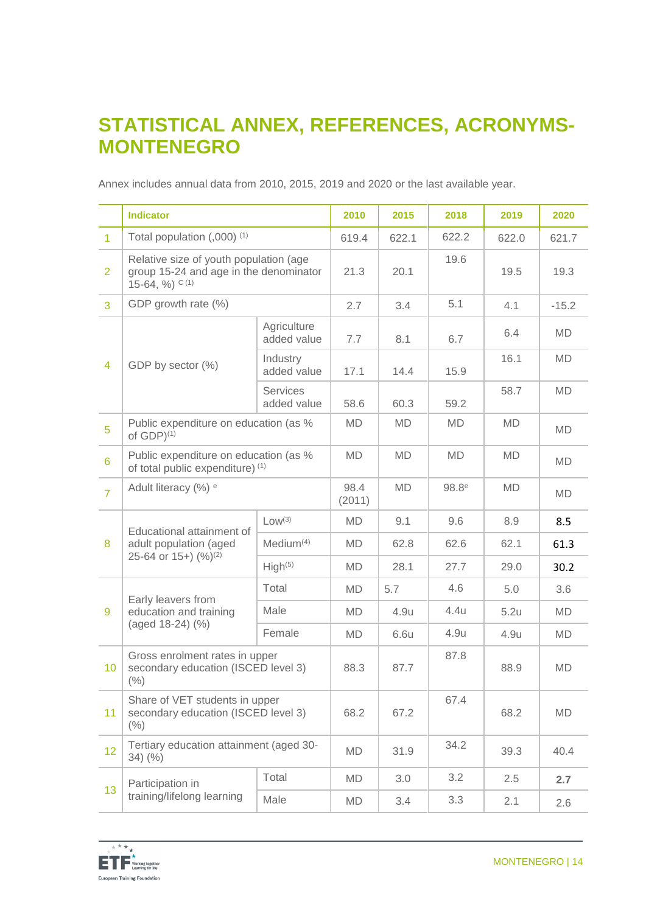### **STATISTICAL ANNEX, REFERENCES, ACRONYMS-MONTENEGRO**

Annex includes annual data from 2010, 2015, 2019 and 2020 or the last available year.

|                | <b>Indicator</b>                                                                                                  |                                | 2010           | 2015  | 2018              | 2019  | 2020      |
|----------------|-------------------------------------------------------------------------------------------------------------------|--------------------------------|----------------|-------|-------------------|-------|-----------|
| $\overline{1}$ | Total population (,000) <sup>(1)</sup>                                                                            |                                | 619.4          | 622.1 | 622.2             | 622.0 | 621.7     |
| $\overline{2}$ | Relative size of youth population (age<br>group 15-24 and age in the denominator<br>15-64, $\%$ ) <sup>C(1)</sup> |                                | 21.3           | 20.1  | 19.6              | 19.5  | 19.3      |
| 3              | GDP growth rate (%)                                                                                               |                                | 2.7            | 3.4   | 5.1               | 4.1   | $-15.2$   |
|                |                                                                                                                   | Agriculture<br>added value     | 7.7            | 8.1   | 6.7               | 6.4   | MD        |
| 4              | GDP by sector (%)                                                                                                 | Industry<br>added value        | 17.1           | 14.4  | 15.9              | 16.1  | MD        |
|                |                                                                                                                   | <b>Services</b><br>added value | 58.6           | 60.3  | 59.2              | 58.7  | <b>MD</b> |
| 5              | Public expenditure on education (as %<br>of $GDP$ <sup><math>(1)</math></sup>                                     |                                | MD             | MD    | <b>MD</b>         | MD    | MD        |
| $6\phantom{1}$ | Public expenditure on education (as %<br>of total public expenditure) (1)                                         |                                | MD             | MD    | MD                | MD    | <b>MD</b> |
| $\overline{7}$ | Adult literacy (%) <sup>e</sup>                                                                                   |                                | 98.4<br>(2011) | MD    | 98.8 <sup>e</sup> | MD    | MD        |
|                | Educational attainment of                                                                                         | Low <sup>(3)</sup>             | MD             | 9.1   | 9.6               | 8.9   | 8.5       |
| 8              | adult population (aged<br>25-64 or 15+) $(%)(2)$                                                                  | Medium <sup>(4)</sup>          | MD             | 62.8  | 62.6              | 62.1  | 61.3      |
|                |                                                                                                                   | High <sup>(5)</sup>            | MD             | 28.1  | 27.7              | 29.0  | 30.2      |
|                | Early leavers from                                                                                                | Total                          | MD             | 5.7   | 4.6               | 5.0   | 3.6       |
| 9              | education and training                                                                                            | Male                           | MD             | 4.9u  | 4.4u              | 5.2u  | MD        |
|                | (aged 18-24) (%)                                                                                                  | Female                         | MD             | 6.6u  | 4.9u              | 4.9u  | <b>MD</b> |
| 10             | Gross enrolment rates in upper<br>secondary education (ISCED level 3)<br>(% )                                     |                                | 88.3           | 87.7  | 87.8              | 88.9  | <b>MD</b> |
| 11             | Share of VET students in upper<br>secondary education (ISCED level 3)<br>$(\% )$                                  |                                | 68.2           | 67.2  | 67.4              | 68.2  | MD        |
| 12             | Tertiary education attainment (aged 30-<br>$34)$ (%)                                                              |                                | MD             | 31.9  | 34.2              | 39.3  | 40.4      |
|                | Participation in                                                                                                  | Total                          | MD             | 3.0   | 3.2               | 2.5   | 2.7       |
| 13             | training/lifelong learning<br>Male                                                                                |                                | MD             | 3.4   | 3.3               | 2.1   | 2.6       |

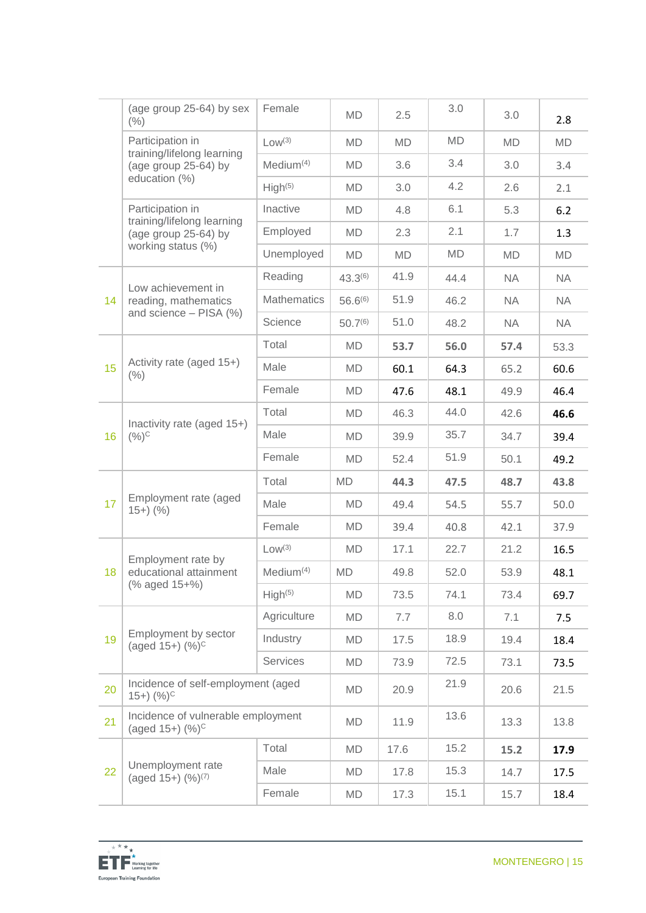|    | (age group 25-64) by sex<br>(% )                             | Female                | MD           | 2.5       | 3.0  | 3.0       | 2.8       |
|----|--------------------------------------------------------------|-----------------------|--------------|-----------|------|-----------|-----------|
|    | Participation in<br>training/lifelong learning               | Low <sup>(3)</sup>    | MD           | MD        | MD   | MD        | <b>MD</b> |
|    | (age group 25-64) by                                         | Median <sup>(4)</sup> | MD           | 3.6       | 3.4  | 3.0       | 3.4       |
|    | education (%)                                                | High <sup>(5)</sup>   | MD           | 3.0       | 4.2  | 2.6       | 2.1       |
|    | Participation in<br>training/lifelong learning               | Inactive              | MD           | 4.8       | 6.1  | 5.3       | 6.2       |
|    | (age group 25-64) by                                         | Employed              | MD           | 2.3       | 2.1  | 1.7       | 1.3       |
|    | working status (%)                                           | Unemployed            | <b>MD</b>    | <b>MD</b> | MD   | MD        | MD        |
|    | Low achievement in                                           | Reading               | $43.3^{(6)}$ | 41.9      | 44.4 | <b>NA</b> | <b>NA</b> |
| 14 | reading, mathematics                                         | <b>Mathematics</b>    | $56.6^{(6)}$ | 51.9      | 46.2 | <b>NA</b> | <b>NA</b> |
|    | and science - PISA (%)                                       | Science               | $50.7^{(6)}$ | 51.0      | 48.2 | <b>NA</b> | <b>NA</b> |
|    |                                                              | Total                 | MD           | 53.7      | 56.0 | 57.4      | 53.3      |
| 15 | Activity rate (aged 15+)<br>$(\% )$                          | Male                  | MD           | 60.1      | 64.3 | 65.2      | 60.6      |
|    |                                                              | Female                | MD           | 47.6      | 48.1 | 49.9      | 46.4      |
|    | Inactivity rate (aged 15+)<br>$(%)^{C}$                      | Total                 | MD           | 46.3      | 44.0 | 42.6      | 46.6      |
| 16 |                                                              | Male                  | MD           | 39.9      | 35.7 | 34.7      | 39.4      |
|    |                                                              | Female                | <b>MD</b>    | 52.4      | 51.9 | 50.1      | 49.2      |
|    |                                                              | Total                 | <b>MD</b>    | 44.3      | 47.5 | 48.7      | 43.8      |
| 17 | Employment rate (aged<br>$15+)$ (%)                          | Male                  | MD           | 49.4      | 54.5 | 55.7      | 50.0      |
|    |                                                              | Female                | MD           | 39.4      | 40.8 | 42.1      | 37.9      |
|    | Employment rate by                                           | Low <sup>(3)</sup>    | MD           | 17.1      | 22.7 | 21.2      | 16.5      |
| 18 | educational attainment                                       | Median <sup>(4)</sup> | <b>MD</b>    | 49.8      | 52.0 | 53.9      | 48.1      |
|    | (% aged 15+%)                                                | High <sup>(5)</sup>   | <b>MD</b>    | 73.5      | 74.1 | 73.4      | 69.7      |
|    |                                                              | Agriculture           | MD           | 7.7       | 8.0  | 7.1       | 7.5       |
| 19 | Employment by sector<br>(aged $15+$ ) $(\%)^C$               | Industry              | MD           | 17.5      | 18.9 | 19.4      | 18.4      |
|    |                                                              | Services              | MD           | 73.9      | 72.5 | 73.1      | 73.5      |
| 20 | Incidence of self-employment (aged<br>$(15+)$ $(%)^C$        |                       | MD           | 20.9      | 21.9 | 20.6      | 21.5      |
| 21 | Incidence of vulnerable employment<br>(aged $15+$ ) $(\%)^C$ |                       | MD           | 11.9      | 13.6 | 13.3      | 13.8      |
|    |                                                              | Total                 | MD           | 17.6      | 15.2 | 15.2      | 17.9      |
| 22 | Unemployment rate<br>(aged 15+) (%) <sup>(7)</sup>           | Male                  | MD           | 17.8      | 15.3 | 14.7      | 17.5      |
|    |                                                              | Female                | MD           | 17.3      | 15.1 | 15.7      | 18.4      |

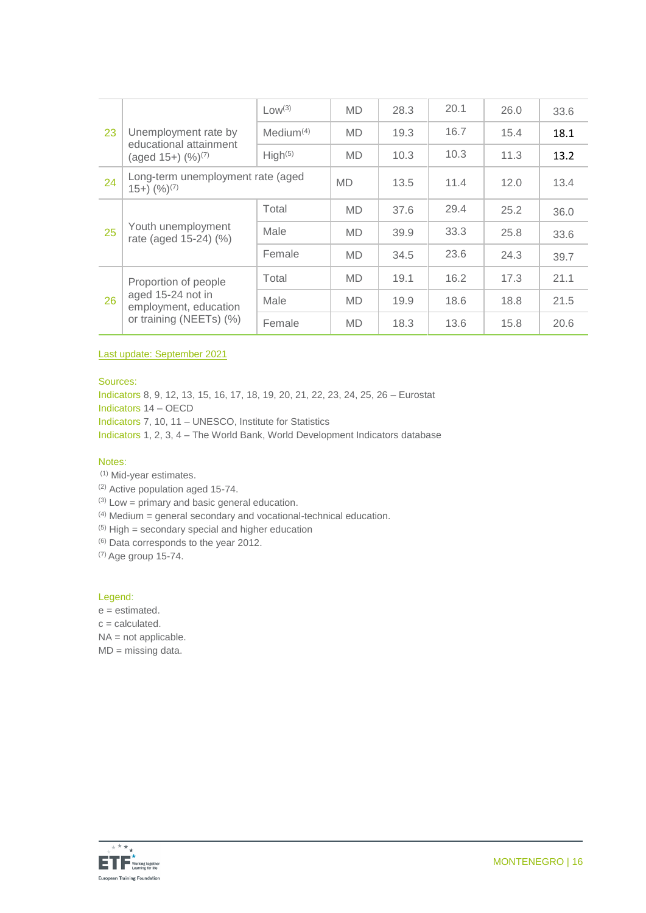|    |                                                                       | $Low^{(3)}$           | <b>MD</b> | 28.3 | 20.1 | 26.0 | 33.6 |
|----|-----------------------------------------------------------------------|-----------------------|-----------|------|------|------|------|
| 23 | Unemployment rate by                                                  | Medium <sup>(4)</sup> | <b>MD</b> | 19.3 | 16.7 | 15.4 | 18.1 |
|    | educational attainment<br>(aged $15+$ ) $(\frac{9}{6})^{(7)}$         | High <sup>(5)</sup>   | <b>MD</b> | 10.3 | 10.3 | 11.3 | 13.2 |
| 24 | Long-term unemployment rate (aged<br>$(15+)$ $(%)^{(7)}$              |                       | <b>MD</b> | 13.5 | 11.4 | 12.0 | 13.4 |
|    | Youth unemployment<br>rate (aged 15-24) (%)                           | Total                 | <b>MD</b> | 37.6 | 29.4 | 25.2 | 36.0 |
| 25 |                                                                       | Male                  | <b>MD</b> | 39.9 | 33.3 | 25.8 | 33.6 |
|    |                                                                       | Female                | <b>MD</b> | 34.5 | 23.6 | 24.3 | 39.7 |
|    | Proportion of people                                                  | Total                 | <b>MD</b> | 19.1 | 16.2 | 17.3 | 21.1 |
| 26 | aged 15-24 not in<br>employment, education<br>or training (NEETs) (%) | Male                  | <b>MD</b> | 19.9 | 18.6 | 18.8 | 21.5 |
|    |                                                                       | Female                | <b>MD</b> | 18.3 | 13.6 | 15.8 | 20.6 |

Last update: September 2021

Sources:

Indicators 8, 9, 12, 13, 15, 16, 17, 18, 19, 20, 21, 22, 23, 24, 25, 26 – Eurostat Indicators 14 – OECD Indicators 7, 10, 11 – UNESCO, Institute for Statistics Indicators 1, 2, 3, 4 – The World Bank, World Development Indicators database

#### Notes:

(1) Mid-year estimates.

(2) Active population aged 15-74.

 $(3)$  Low = primary and basic general education.

 $(4)$  Medium = general secondary and vocational-technical education.

 $(5)$  High = secondary special and higher education

(6) Data corresponds to the year 2012.

(7) Age group 15-74.

#### Legend:

e = estimated.

 $c =$  calculated.

NA = not applicable.

MD = missing data.

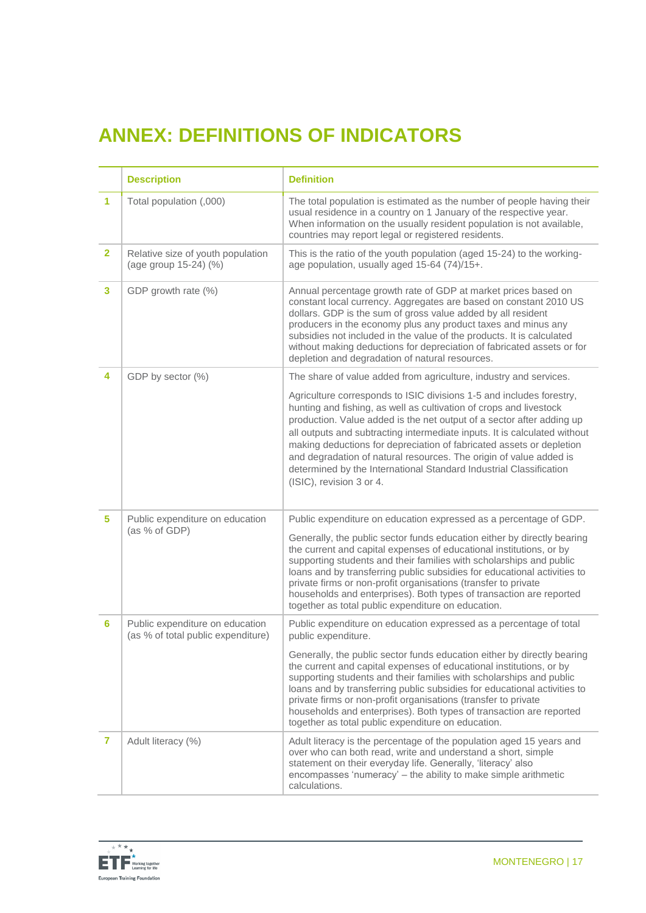# **ANNEX: DEFINITIONS OF INDICATORS**

|                | <b>Description</b>                                                    | <b>Definition</b>                                                                                                                                                                                                                                                                                                                                                                                                                                                                                                                                |
|----------------|-----------------------------------------------------------------------|--------------------------------------------------------------------------------------------------------------------------------------------------------------------------------------------------------------------------------------------------------------------------------------------------------------------------------------------------------------------------------------------------------------------------------------------------------------------------------------------------------------------------------------------------|
| 1              | Total population (,000)                                               | The total population is estimated as the number of people having their<br>usual residence in a country on 1 January of the respective year.<br>When information on the usually resident population is not available,<br>countries may report legal or registered residents.                                                                                                                                                                                                                                                                      |
| $\overline{2}$ | Relative size of youth population<br>(age group 15-24) (%)            | This is the ratio of the youth population (aged 15-24) to the working-<br>age population, usually aged 15-64 (74)/15+.                                                                                                                                                                                                                                                                                                                                                                                                                           |
| 3              | GDP growth rate (%)                                                   | Annual percentage growth rate of GDP at market prices based on<br>constant local currency. Aggregates are based on constant 2010 US<br>dollars. GDP is the sum of gross value added by all resident<br>producers in the economy plus any product taxes and minus any<br>subsidies not included in the value of the products. It is calculated<br>without making deductions for depreciation of fabricated assets or for<br>depletion and degradation of natural resources.                                                                       |
| 4              | GDP by sector (%)                                                     | The share of value added from agriculture, industry and services.                                                                                                                                                                                                                                                                                                                                                                                                                                                                                |
|                |                                                                       | Agriculture corresponds to ISIC divisions 1-5 and includes forestry,<br>hunting and fishing, as well as cultivation of crops and livestock<br>production. Value added is the net output of a sector after adding up<br>all outputs and subtracting intermediate inputs. It is calculated without<br>making deductions for depreciation of fabricated assets or depletion<br>and degradation of natural resources. The origin of value added is<br>determined by the International Standard Industrial Classification<br>(ISIC), revision 3 or 4. |
| 5.             | Public expenditure on education<br>(as % of GDP)                      | Public expenditure on education expressed as a percentage of GDP.                                                                                                                                                                                                                                                                                                                                                                                                                                                                                |
|                |                                                                       | Generally, the public sector funds education either by directly bearing<br>the current and capital expenses of educational institutions, or by<br>supporting students and their families with scholarships and public<br>loans and by transferring public subsidies for educational activities to<br>private firms or non-profit organisations (transfer to private<br>households and enterprises). Both types of transaction are reported<br>together as total public expenditure on education.                                                 |
| 6              | Public expenditure on education<br>(as % of total public expenditure) | Public expenditure on education expressed as a percentage of total<br>public expenditure.                                                                                                                                                                                                                                                                                                                                                                                                                                                        |
|                |                                                                       | Generally, the public sector funds education either by directly bearing<br>the current and capital expenses of educational institutions, or by<br>supporting students and their families with scholarships and public<br>loans and by transferring public subsidies for educational activities to<br>private firms or non-profit organisations (transfer to private<br>households and enterprises). Both types of transaction are reported<br>together as total public expenditure on education.                                                 |
| 7              | Adult literacy (%)                                                    | Adult literacy is the percentage of the population aged 15 years and<br>over who can both read, write and understand a short, simple<br>statement on their everyday life. Generally, 'literacy' also<br>encompasses 'numeracy' - the ability to make simple arithmetic<br>calculations.                                                                                                                                                                                                                                                          |

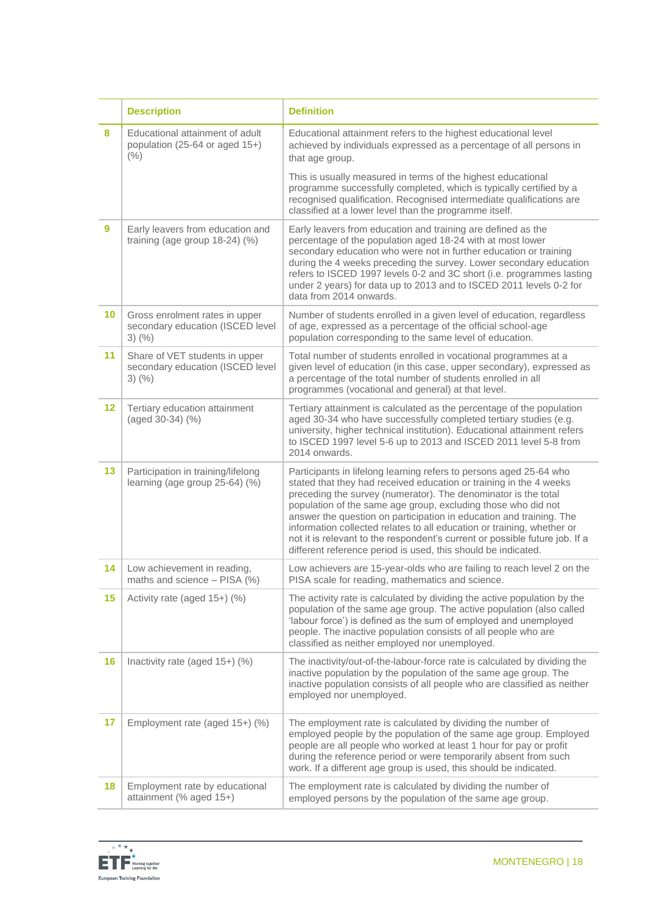|         | <b>Description</b>                                                                 | <b>Definition</b>                                                                                                                                                                                                                                                                                                                                                                                                                                                                                                                                                            |
|---------|------------------------------------------------------------------------------------|------------------------------------------------------------------------------------------------------------------------------------------------------------------------------------------------------------------------------------------------------------------------------------------------------------------------------------------------------------------------------------------------------------------------------------------------------------------------------------------------------------------------------------------------------------------------------|
| 8       | Educational attainment of adult<br>population (25-64 or aged 15+)<br>(% )          | Educational attainment refers to the highest educational level<br>achieved by individuals expressed as a percentage of all persons in<br>that age group.                                                                                                                                                                                                                                                                                                                                                                                                                     |
|         |                                                                                    | This is usually measured in terms of the highest educational<br>programme successfully completed, which is typically certified by a<br>recognised qualification. Recognised intermediate qualifications are<br>classified at a lower level than the programme itself.                                                                                                                                                                                                                                                                                                        |
| 9       | Early leavers from education and<br>training (age group $18-24$ ) (%)              | Early leavers from education and training are defined as the<br>percentage of the population aged 18-24 with at most lower<br>secondary education who were not in further education or training<br>during the 4 weeks preceding the survey. Lower secondary education<br>refers to ISCED 1997 levels 0-2 and 3C short (i.e. programmes lasting<br>under 2 years) for data up to 2013 and to ISCED 2011 levels 0-2 for<br>data from 2014 onwards.                                                                                                                             |
| 10      | Gross enrolment rates in upper<br>secondary education (ISCED level<br>$3)$ (%)     | Number of students enrolled in a given level of education, regardless<br>of age, expressed as a percentage of the official school-age<br>population corresponding to the same level of education.                                                                                                                                                                                                                                                                                                                                                                            |
| 11      | Share of VET students in upper<br>secondary education (ISCED level<br>$3)$ $(\% )$ | Total number of students enrolled in vocational programmes at a<br>given level of education (in this case, upper secondary), expressed as<br>a percentage of the total number of students enrolled in all<br>programmes (vocational and general) at that level.                                                                                                                                                                                                                                                                                                              |
| $12 \,$ | Tertiary education attainment<br>(aged 30-34) (%)                                  | Tertiary attainment is calculated as the percentage of the population<br>aged 30-34 who have successfully completed tertiary studies (e.g.<br>university, higher technical institution). Educational attainment refers<br>to ISCED 1997 level 5-6 up to 2013 and ISCED 2011 level 5-8 from<br>2014 onwards.                                                                                                                                                                                                                                                                  |
| 13      | Participation in training/lifelong<br>learning (age group 25-64) (%)               | Participants in lifelong learning refers to persons aged 25-64 who<br>stated that they had received education or training in the 4 weeks<br>preceding the survey (numerator). The denominator is the total<br>population of the same age group, excluding those who did not<br>answer the question on participation in education and training. The<br>information collected relates to all education or training, whether or<br>not it is relevant to the respondent's current or possible future job. If a<br>different reference period is used, this should be indicated. |
| 14      | Low achievement in reading,<br>maths and science - PISA (%)                        | Low achievers are 15-year-olds who are failing to reach level 2 on the<br>PISA scale for reading, mathematics and science.                                                                                                                                                                                                                                                                                                                                                                                                                                                   |
| 15      | Activity rate (aged 15+) (%)                                                       | The activity rate is calculated by dividing the active population by the<br>population of the same age group. The active population (also called<br>'labour force') is defined as the sum of employed and unemployed<br>people. The inactive population consists of all people who are<br>classified as neither employed nor unemployed.                                                                                                                                                                                                                                     |
| 16      | Inactivity rate (aged 15+) (%)                                                     | The inactivity/out-of-the-labour-force rate is calculated by dividing the<br>inactive population by the population of the same age group. The<br>inactive population consists of all people who are classified as neither<br>employed nor unemployed.                                                                                                                                                                                                                                                                                                                        |
| 17      | Employment rate (aged 15+) (%)                                                     | The employment rate is calculated by dividing the number of<br>employed people by the population of the same age group. Employed<br>people are all people who worked at least 1 hour for pay or profit<br>during the reference period or were temporarily absent from such<br>work. If a different age group is used, this should be indicated.                                                                                                                                                                                                                              |
| 18      | Employment rate by educational<br>attainment (% aged 15+)                          | The employment rate is calculated by dividing the number of<br>employed persons by the population of the same age group.                                                                                                                                                                                                                                                                                                                                                                                                                                                     |

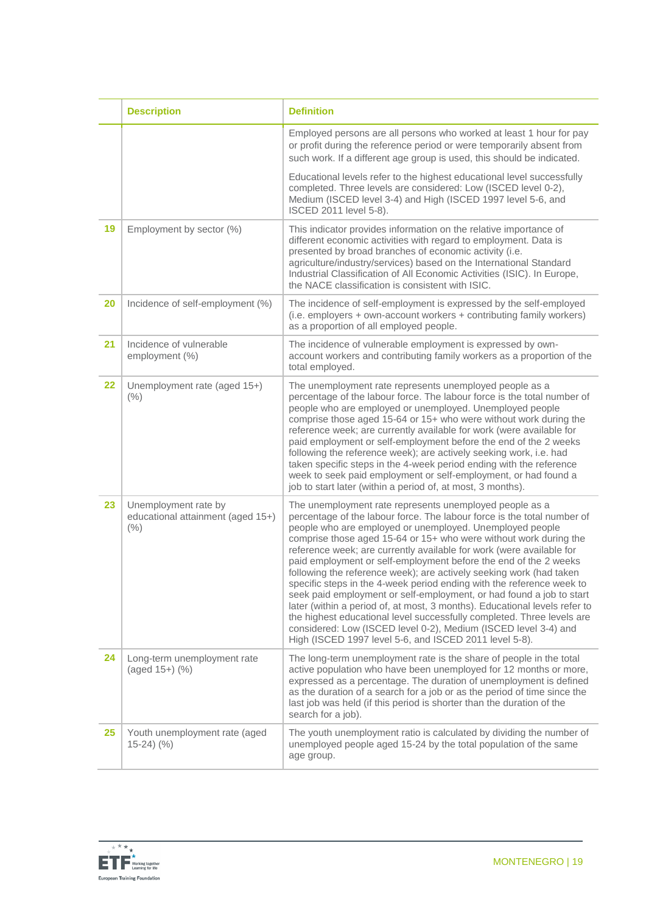|    | <b>Description</b>                                                | <b>Definition</b>                                                                                                                                                                                                                                                                                                                                                                                                                                                                                                                                                                                                                                                                                                                                                                                                                                                                                                            |
|----|-------------------------------------------------------------------|------------------------------------------------------------------------------------------------------------------------------------------------------------------------------------------------------------------------------------------------------------------------------------------------------------------------------------------------------------------------------------------------------------------------------------------------------------------------------------------------------------------------------------------------------------------------------------------------------------------------------------------------------------------------------------------------------------------------------------------------------------------------------------------------------------------------------------------------------------------------------------------------------------------------------|
|    |                                                                   | Employed persons are all persons who worked at least 1 hour for pay<br>or profit during the reference period or were temporarily absent from<br>such work. If a different age group is used, this should be indicated.                                                                                                                                                                                                                                                                                                                                                                                                                                                                                                                                                                                                                                                                                                       |
|    |                                                                   | Educational levels refer to the highest educational level successfully<br>completed. Three levels are considered: Low (ISCED level 0-2),<br>Medium (ISCED level 3-4) and High (ISCED 1997 level 5-6, and<br>ISCED 2011 level 5-8).                                                                                                                                                                                                                                                                                                                                                                                                                                                                                                                                                                                                                                                                                           |
| 19 | Employment by sector (%)                                          | This indicator provides information on the relative importance of<br>different economic activities with regard to employment. Data is<br>presented by broad branches of economic activity (i.e.<br>agriculture/industry/services) based on the International Standard<br>Industrial Classification of All Economic Activities (ISIC). In Europe,<br>the NACE classification is consistent with ISIC.                                                                                                                                                                                                                                                                                                                                                                                                                                                                                                                         |
| 20 | Incidence of self-employment (%)                                  | The incidence of self-employment is expressed by the self-employed<br>(i.e. employers + own-account workers + contributing family workers)<br>as a proportion of all employed people.                                                                                                                                                                                                                                                                                                                                                                                                                                                                                                                                                                                                                                                                                                                                        |
| 21 | Incidence of vulnerable<br>employment (%)                         | The incidence of vulnerable employment is expressed by own-<br>account workers and contributing family workers as a proportion of the<br>total employed.                                                                                                                                                                                                                                                                                                                                                                                                                                                                                                                                                                                                                                                                                                                                                                     |
| 22 | Unemployment rate (aged 15+)<br>(% )                              | The unemployment rate represents unemployed people as a<br>percentage of the labour force. The labour force is the total number of<br>people who are employed or unemployed. Unemployed people<br>comprise those aged 15-64 or 15+ who were without work during the<br>reference week; are currently available for work (were available for<br>paid employment or self-employment before the end of the 2 weeks<br>following the reference week); are actively seeking work, i.e. had<br>taken specific steps in the 4-week period ending with the reference<br>week to seek paid employment or self-employment, or had found a<br>job to start later (within a period of, at most, 3 months).                                                                                                                                                                                                                               |
| 23 | Unemployment rate by<br>educational attainment (aged 15+)<br>(% ) | The unemployment rate represents unemployed people as a<br>percentage of the labour force. The labour force is the total number of<br>people who are employed or unemployed. Unemployed people<br>comprise those aged 15-64 or 15+ who were without work during the<br>reference week; are currently available for work (were available for<br>paid employment or self-employment before the end of the 2 weeks<br>following the reference week); are actively seeking work (had taken<br>specific steps in the 4-week period ending with the reference week to<br>seek paid employment or self-employment, or had found a job to start<br>later (within a period of, at most, 3 months). Educational levels refer to<br>the highest educational level successfully completed. Three levels are<br>considered: Low (ISCED level 0-2), Medium (ISCED level 3-4) and<br>High (ISCED 1997 level 5-6, and ISCED 2011 level 5-8). |
| 24 | Long-term unemployment rate<br>(aged 15+) (%)                     | The long-term unemployment rate is the share of people in the total<br>active population who have been unemployed for 12 months or more,<br>expressed as a percentage. The duration of unemployment is defined<br>as the duration of a search for a job or as the period of time since the<br>last job was held (if this period is shorter than the duration of the<br>search for a job).                                                                                                                                                                                                                                                                                                                                                                                                                                                                                                                                    |
| 25 | Youth unemployment rate (aged<br>$15-24)$ (%)                     | The youth unemployment ratio is calculated by dividing the number of<br>unemployed people aged 15-24 by the total population of the same<br>age group.                                                                                                                                                                                                                                                                                                                                                                                                                                                                                                                                                                                                                                                                                                                                                                       |

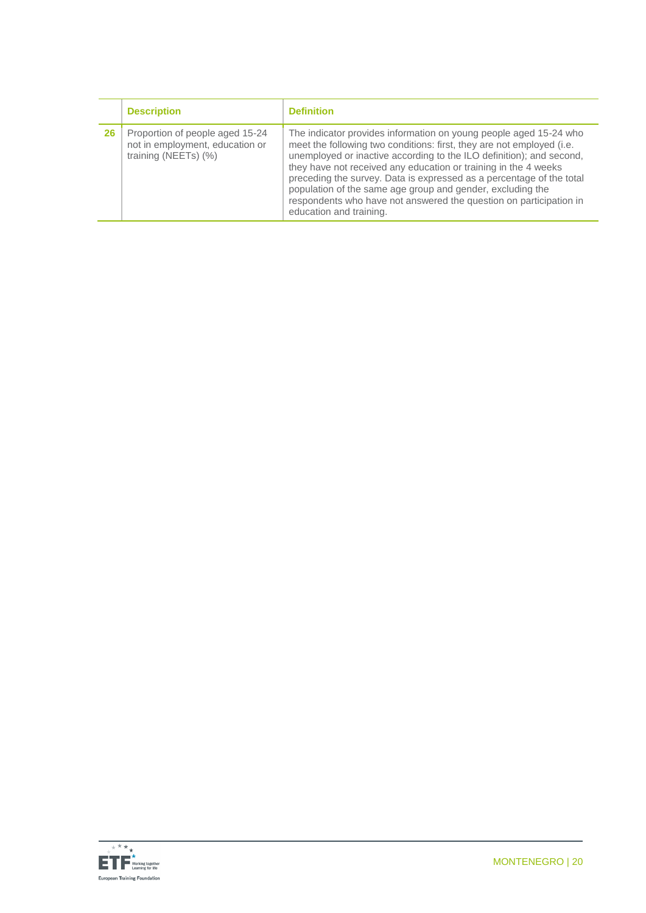|    | <b>Description</b>                                                                         | <b>Definition</b>                                                                                                                                                                                                                                                                                                                                                                                                                                                                                                            |
|----|--------------------------------------------------------------------------------------------|------------------------------------------------------------------------------------------------------------------------------------------------------------------------------------------------------------------------------------------------------------------------------------------------------------------------------------------------------------------------------------------------------------------------------------------------------------------------------------------------------------------------------|
| 26 | Proportion of people aged 15-24<br>not in employment, education or<br>training (NEETs) (%) | The indicator provides information on young people aged 15-24 who<br>meet the following two conditions: first, they are not employed (i.e.<br>unemployed or inactive according to the ILO definition); and second,<br>they have not received any education or training in the 4 weeks<br>preceding the survey. Data is expressed as a percentage of the total<br>population of the same age group and gender, excluding the<br>respondents who have not answered the question on participation in<br>education and training. |

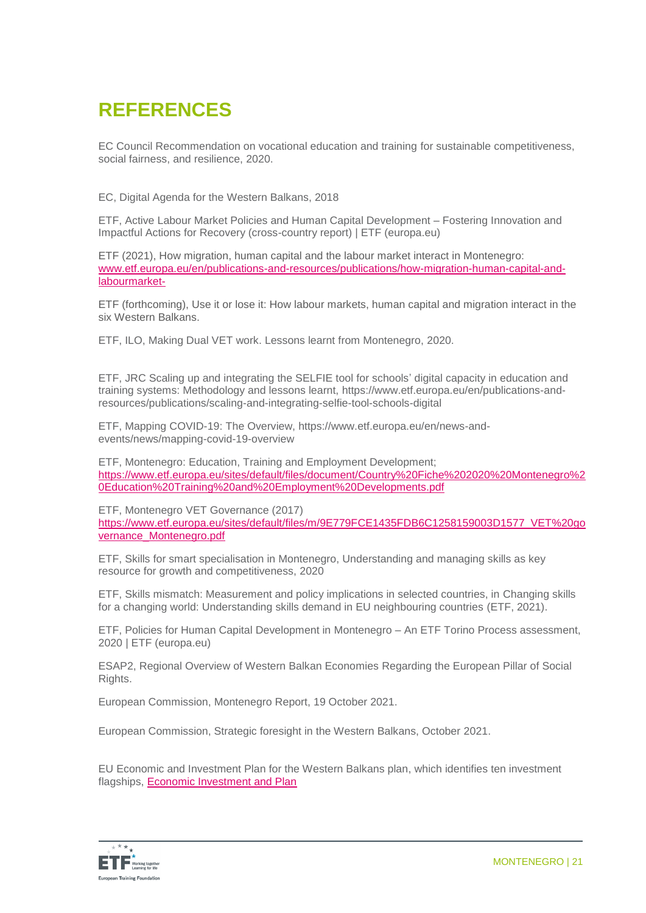### **REFERENCES**

EC Council Recommendation on vocational education and training for sustainable competitiveness, social fairness, and resilience, 2020.

EC, Digital Agenda for the Western Balkans, 2018

ETF, Active Labour Market Policies and Human Capital Development – Fostering Innovation and Impactful Actions for Recovery (cross-country report) | ETF (europa.eu)

ETF (2021), How migration, human capital and the labour market interact in Montenegro: [www.etf.europa.eu/en/publications-and-resources/publications/how-migration-human-capital-and](http://www.etf.europa.eu/en/publications-and-resources/publications/how-migration-human-capital-and-labourmarket-)[labourmarket-](http://www.etf.europa.eu/en/publications-and-resources/publications/how-migration-human-capital-and-labourmarket-)

ETF (forthcoming), Use it or lose it: How labour markets, human capital and migration interact in the six Western Balkans.

ETF, ILO, Making Dual VET work. Lessons learnt from Montenegro, 2020.

ETF, JRC Scaling up and integrating the SELFIE tool for schools' digital capacity in education and training systems: Methodology and lessons learnt, [https://www.etf.europa.eu/en/publications-and](https://www.etf.europa.eu/en/publications-and-resources/publications/scaling-and-integrating-selfie-tool-schools-digital)[resources/publications/scaling-and-integrating-selfie-tool-schools-digital](https://www.etf.europa.eu/en/publications-and-resources/publications/scaling-and-integrating-selfie-tool-schools-digital)

ETF, Mapping COVID-19: The Overview, https://www.etf.europa.eu/en/news-andevents/news/mapping-covid-19-overview

ETF, Montenegro: Education, Training and Employment Development; [https://www.etf.europa.eu/sites/default/files/document/Country%20Fiche%202020%20Montenegro%2](https://www.etf.europa.eu/sites/default/files/document/Country%20Fiche%202020%20Montenegro%20Education%20Training%20and%20Employment%20Developments.pdf) [0Education%20Training%20and%20Employment%20Developments.pdf](https://www.etf.europa.eu/sites/default/files/document/Country%20Fiche%202020%20Montenegro%20Education%20Training%20and%20Employment%20Developments.pdf)

ETF, Montenegro VET Governance (2017) [https://www.etf.europa.eu/sites/default/files/m/9E779FCE1435FDB6C1258159003D1577\\_VET%20go](https://www.etf.europa.eu/sites/default/files/m/9E779FCE1435FDB6C1258159003D1577_VET%20governance_Montenegro.pdf) [vernance\\_Montenegro.pdf](https://www.etf.europa.eu/sites/default/files/m/9E779FCE1435FDB6C1258159003D1577_VET%20governance_Montenegro.pdf)

ETF, Skills for smart specialisation in Montenegro, Understanding and managing skills as key resource for growth and competitiveness, 2020

ETF, Skills mismatch: Measurement and policy implications in selected countries, in [Changing skills](https://www.etf.europa.eu/en/publications-and-resources/publications/changing-skills-changing-world-understanding-skills-demand)  [for a changing world: Understanding skills demand in EU neighbouring countries](https://www.etf.europa.eu/en/publications-and-resources/publications/changing-skills-changing-world-understanding-skills-demand) (ETF, 2021).

ETF, Policies for Human Capital Development in Montenegro – An ETF Torino Process assessment, 2020 [| ETF \(europa.eu\)](https://www.etf.europa.eu/en/publications-and-resources/publications/trp-assessment-reports/serbia-2020)

ESAP2, [Regional Overview of Western Balkan Economies](https://www.esap.online/docs/89/regional-overview-of-western-balkan-economies-regarding-the-european-pillar-of-social-rights) Regarding the European Pillar of Social [Rights.](https://www.esap.online/docs/89/regional-overview-of-western-balkan-economies-regarding-the-european-pillar-of-social-rights)

European Commission, Montenegro Report, 19 October 2021.

European Commission, Strategic foresight in the Western Balkans, October 2021.

EU Economic and Investment Plan for the Western Balkans plan, which identifies ten investment flagships, [Economic Investment and Plan](https://www.google.com/url?sa=t&rct=j&q=&esrc=s&source=web&cd=&ved=2ahUKEwjm17r63pr0AhXSC-wKHXRIDD8QFnoECAYQAQ&url=https%3A%2F%2Fec.europa.eu%2Fneighbourhood-enlargement%2Fsystem%2Ffiles%2F2021-10%2Fwb_economic_and_investment_plan.pdf&usg=AOvVaw3p4mVFGZPnB0OjN4IGrdhU)

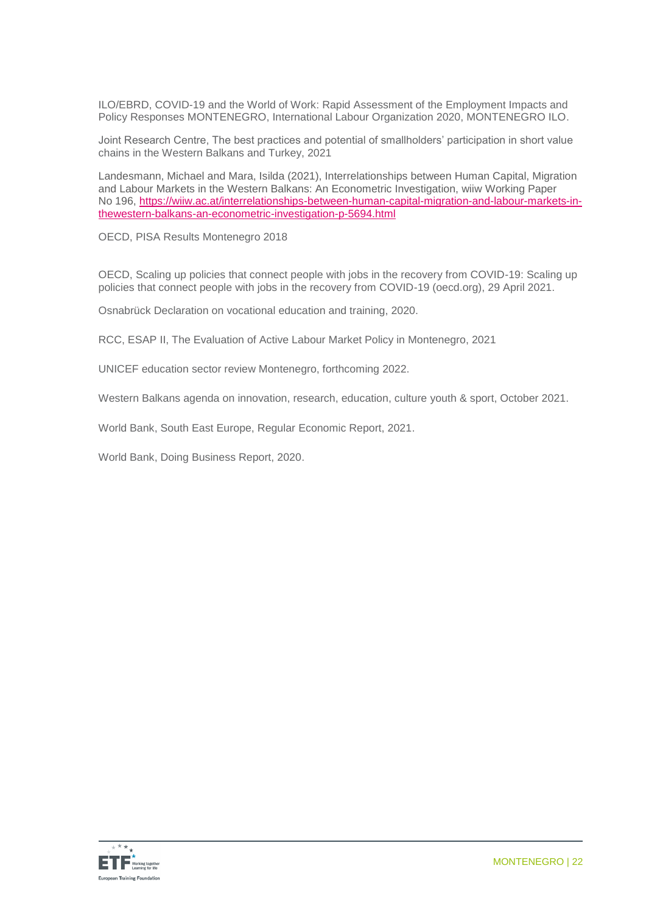ILO/EBRD, COVID-19 and the World of Work: Rapid Assessment of the Employment Impacts and Policy Responses MONTENEGRO, International Labour Organization 2020, MONTENEGRO ILO.

Joint Research Centre, The best practices and potential of smallholders' participation in short value chains in the Western Balkans and Turkey, 2021

Landesmann, Michael and Mara, Isilda (2021), Interrelationships between Human Capital, Migration and Labour Markets in the Western Balkans: An Econometric Investigation, wiiw Working Paper No 196, [https://wiiw.ac.at/interrelationships-between-human-capital-migration-and-labour-markets-in](https://wiiw.ac.at/interrelationships-between-human-capital-migration-and-labour-markets-in-thewestern-balkans-an-econometric-investigation-p-5694.html)[thewestern-balkans-an-econometric-investigation-p-5694.html](https://wiiw.ac.at/interrelationships-between-human-capital-migration-and-labour-markets-in-thewestern-balkans-an-econometric-investigation-p-5694.html)

OECD, PISA Results Montenegro 2018

OECD, Scaling up policies that connect people with jobs in the recovery from COVID-19: [Scaling up](https://www.oecd.org/coronavirus/policy-responses/scaling-up-policies-that-connect-people-with-jobs-in-the-recovery-from-covid-19-a91d2087/)  policies [that connect people with jobs in the recovery from COVID-19 \(oecd.org\),](https://www.oecd.org/coronavirus/policy-responses/scaling-up-policies-that-connect-people-with-jobs-in-the-recovery-from-covid-19-a91d2087/) 29 April 2021.

Osnabrück Declaration on vocational education and training, 2020.

RCC, ESAP II, The Evaluation of Active Labour Market Policy in Montenegro, 2021

UNICEF education sector review Montenegro, forthcoming 2022.

Western Balkans agenda on innovation, research, education, culture youth & sport, October 2021.

World Bank, South East Europe, Regular Economic Report, 2021.

World Bank, Doing Business Report, 2020.

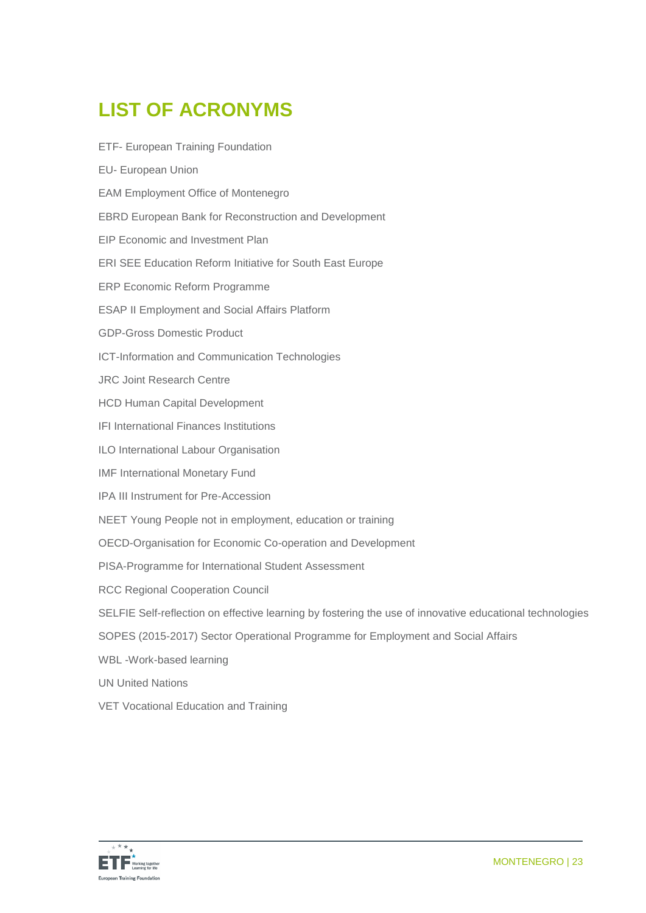# **LIST OF ACRONYMS**

| <b>ETF- European Training Foundation</b>                                                                 |
|----------------------------------------------------------------------------------------------------------|
| <b>EU- European Union</b>                                                                                |
| <b>EAM Employment Office of Montenegro</b>                                                               |
| <b>EBRD European Bank for Reconstruction and Development</b>                                             |
| <b>EIP Economic and Investment Plan</b>                                                                  |
| ERI SEE Education Reform Initiative for South East Europe                                                |
| <b>ERP Economic Reform Programme</b>                                                                     |
| <b>ESAP II Employment and Social Affairs Platform</b>                                                    |
| <b>GDP-Gross Domestic Product</b>                                                                        |
| ICT-Information and Communication Technologies                                                           |
| <b>JRC Joint Research Centre</b>                                                                         |
| <b>HCD Human Capital Development</b>                                                                     |
| <b>IFI International Finances Institutions</b>                                                           |
| ILO International Labour Organisation                                                                    |
| <b>IMF International Monetary Fund</b>                                                                   |
| IPA III Instrument for Pre-Accession                                                                     |
| NEET Young People not in employment, education or training                                               |
| OECD-Organisation for Economic Co-operation and Development                                              |
| PISA-Programme for International Student Assessment                                                      |
| <b>RCC Regional Cooperation Council</b>                                                                  |
| SELFIE Self-reflection on effective learning by fostering the use of innovative educational technologies |
| SOPES (2015-2017) Sector Operational Programme for Employment and Social Affairs                         |
| WBL-Work-based learning                                                                                  |
| <b>UN United Nations</b>                                                                                 |
| VET Vocational Education and Training                                                                    |